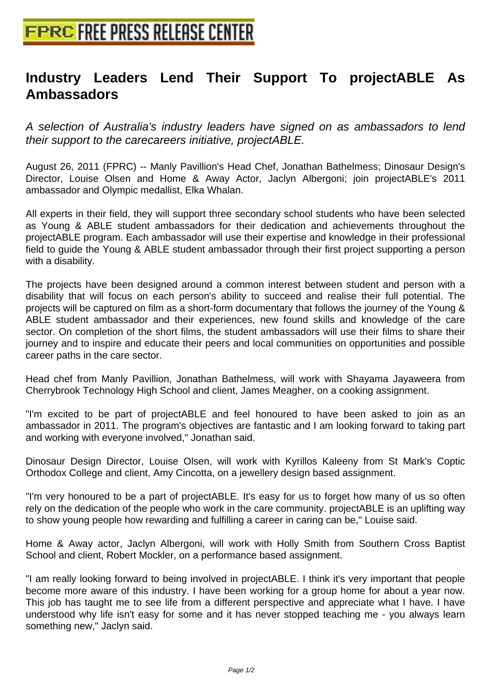## **[Industry Leaders Lend Their S](http://www.free-press-release-center.info)upport To projectABLE As Ambassadors**

A selection of Australia's industry leaders have signed on as ambassadors to lend their support to the carecareers initiative, projectABLE.

August 26, 2011 (FPRC) -- Manly Pavillion's Head Chef, Jonathan Bathelmess; Dinosaur Design's Director, Louise Olsen and Home & Away Actor, Jaclyn Albergoni; join projectABLE's 2011 ambassador and Olympic medallist, Elka Whalan.

All experts in their field, they will support three secondary school students who have been selected as Young & ABLE student ambassadors for their dedication and achievements throughout the projectABLE program. Each ambassador will use their expertise and knowledge in their professional field to guide the Young & ABLE student ambassador through their first project supporting a person with a disability.

The projects have been designed around a common interest between student and person with a disability that will focus on each person's ability to succeed and realise their full potential. The projects will be captured on film as a short-form documentary that follows the journey of the Young & ABLE student ambassador and their experiences, new found skills and knowledge of the care sector. On completion of the short films, the student ambassadors will use their films to share their journey and to inspire and educate their peers and local communities on opportunities and possible career paths in the care sector.

Head chef from Manly Pavillion, Jonathan Bathelmess, will work with Shayama Jayaweera from Cherrybrook Technology High School and client, James Meagher, on a cooking assignment.

"I'm excited to be part of projectABLE and feel honoured to have been asked to join as an ambassador in 2011. The program's objectives are fantastic and I am looking forward to taking part and working with everyone involved," Jonathan said.

Dinosaur Design Director, Louise Olsen, will work with Kyrillos Kaleeny from St Mark's Coptic Orthodox College and client, Amy Cincotta, on a jewellery design based assignment.

"I'm very honoured to be a part of projectABLE. It's easy for us to forget how many of us so often rely on the dedication of the people who work in the care community. projectABLE is an uplifting way to show young people how rewarding and fulfilling a career in caring can be," Louise said.

Home & Away actor, Jaclyn Albergoni, will work with Holly Smith from Southern Cross Baptist School and client, Robert Mockler, on a performance based assignment.

"I am really looking forward to being involved in projectABLE. I think it's very important that people become more aware of this industry. I have been working for a group home for about a year now. This job has taught me to see life from a different perspective and appreciate what I have. I have understood why life isn't easy for some and it has never stopped teaching me - you always learn something new," Jaclyn said.